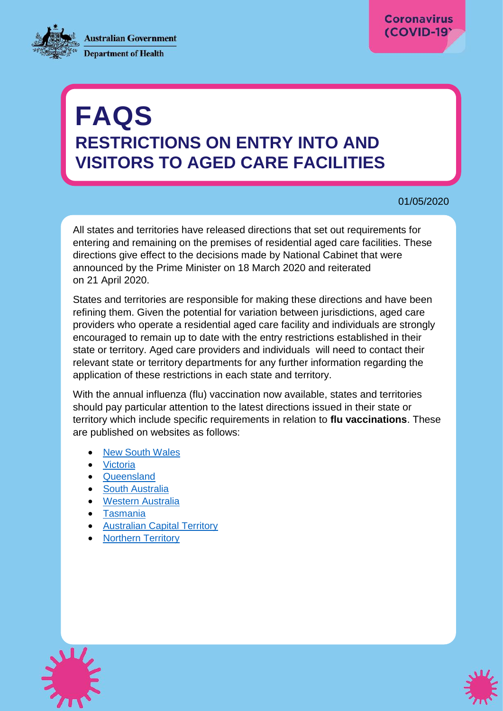**Australian Government Department of Health** 



# **FAQS RESTRICTIONS ON ENTRY INTO AND VISITORS TO AGED CARE FACILITIES**

#### 01/05/2020

All states and territories have released directions that set out requirements for entering and remaining on the premises of residential aged care facilities. These directions give effect to the decisions made by National Cabinet that were announced by the Prime Minister on 18 March 2020 and reiterated on 21 April 2020.

States and territories are responsible for making these directions and have been refining them. Given the potential for variation between jurisdictions, aged care providers who operate a residential aged care facility and individuals are strongly encouraged to remain up to date with the entry restrictions established in their state or territory. Aged care providers and individuals will need to contact their relevant state or territory departments for any further information regarding the application of these restrictions in each state and territory.

With the annual influenza (flu) vaccination now available, states and territories should pay particular attention to the latest directions issued in their state or territory which include specific requirements in relation to **flu vaccinations**. These are published on websites as follows:

- [New South Wales](https://www.health.nsw.gov.au/Infectious/covid-19/Pages/public-health-orders.aspx)
- [Victoria](https://www.dhhs.vic.gov.au/state-emergency)
- [Queensland](https://www.health.qld.gov.au/system-governance/legislation/cho-public-health-directions-under-expanded-public-health-act-powers/aged-care)
- [South Australia](https://www.covid-19.sa.gov.au/restrictions-and-responsibilities)
- [Western Australia](https://www.wa.gov.au/government/document-collections/covid-19-coronavirus-state-of-emergency-declarations)
- [Tasmania](https://coronavirus.tas.gov.au/resources)
- [Australian Capital Territory](https://www.covid19.act.gov.au/help-and-advice/public-health-directions)
- [Northern Territory](https://coronavirus.nt.gov.au/chief-health-officer-directions)



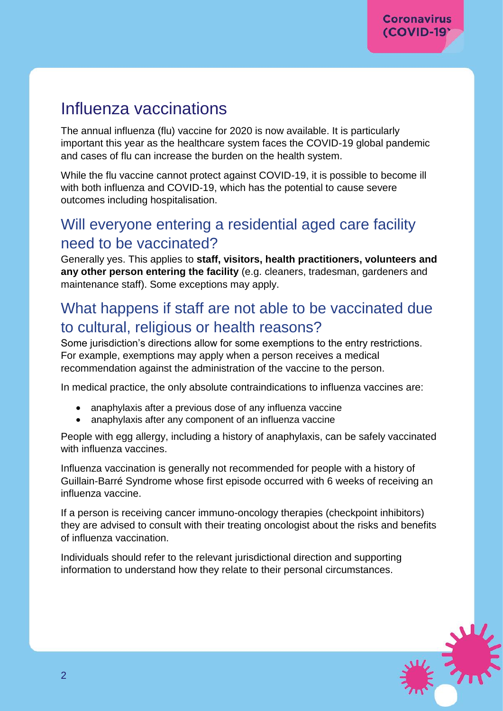# Influenza vaccinations

The annual influenza (flu) vaccine for 2020 is now available. It is particularly important this year as the healthcare system faces the COVID-19 global pandemic and cases of flu can increase the burden on the health system.

While the flu vaccine cannot protect against COVID-19, it is possible to become ill with both influenza and COVID-19, which has the potential to cause severe outcomes including hospitalisation.

#### Will everyone entering a residential aged care facility need to be vaccinated?

Generally yes. This applies to **staff, visitors, health practitioners, volunteers and any other person entering the facility** (e.g. cleaners, tradesman, gardeners and maintenance staff). Some exceptions may apply.

### What happens if staff are not able to be vaccinated due to cultural, religious or health reasons?

Some jurisdiction's directions allow for some exemptions to the entry restrictions. For example, exemptions may apply when a person receives a medical recommendation against the administration of the vaccine to the person.

In medical practice, the only absolute contraindications to influenza vaccines are:

- anaphylaxis after a previous dose of any influenza vaccine
- anaphylaxis after any component of an influenza vaccine

People with egg allergy, including a history of anaphylaxis, can be safely vaccinated with influenza vaccines.

Influenza vaccination is generally not recommended for people with a history of Guillain-Barré Syndrome whose first episode occurred with 6 weeks of receiving an influenza vaccine.

If a person is receiving cancer immuno-oncology therapies (checkpoint inhibitors) they are advised to consult with their treating oncologist about the risks and benefits of influenza vaccination.

Individuals should refer to the relevant jurisdictional direction and supporting information to understand how they relate to their personal circumstances.

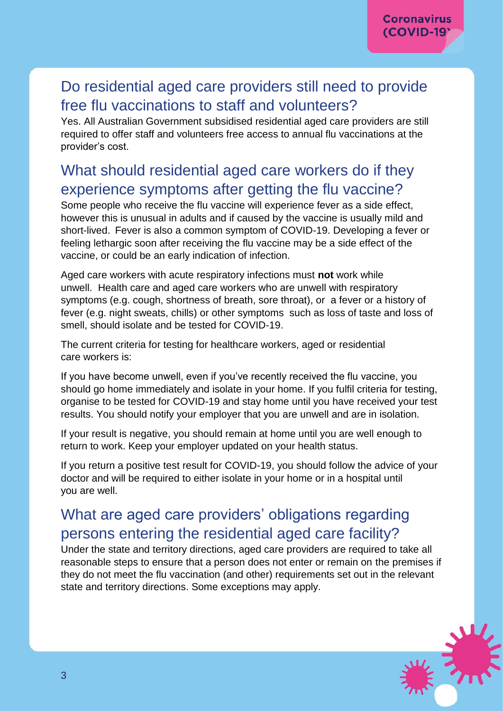# Do residential aged care providers still need to provide free flu vaccinations to staff and volunteers?

Yes. All Australian Government subsidised residential aged care providers are still required to offer staff and volunteers free access to annual flu vaccinations at the provider's cost.

# What should residential aged care workers do if they experience symptoms after getting the flu vaccine?

Some people who receive the flu vaccine will experience fever as a side effect, however this is unusual in adults and if caused by the vaccine is usually mild and short-lived. Fever is also a common symptom of COVID-19. Developing a fever or feeling lethargic soon after receiving the flu vaccine may be a side effect of the vaccine, or could be an early indication of infection.

Aged care workers with acute respiratory infections must **not** work while unwell. Health care and aged care workers who are unwell with respiratory symptoms (e.g. cough, shortness of breath, sore throat), or a fever or a history of fever (e.g. night sweats, chills) or other symptoms such as loss of taste and loss of smell, should isolate and be tested for COVID-19.

The current criteria for testing for healthcare workers, aged or residential care workers is:

If you have become unwell, even if you've recently received the flu vaccine, you should go home immediately and isolate in your home. If you fulfil criteria for testing, organise to be tested for COVID-19 and stay home until you have received your test results. You should notify your employer that you are unwell and are in isolation.

If your result is negative, you should remain at home until you are well enough to return to work. Keep your employer updated on your health status.

If you return a positive test result for COVID-19, you should follow the advice of your doctor and will be required to either isolate in your home or in a hospital until you are well.

# What are aged care providers' obligations regarding persons entering the residential aged care facility?

Under the state and territory directions, aged care providers are required to take all reasonable steps to ensure that a person does not enter or remain on the premises if they do not meet the flu vaccination (and other) requirements set out in the relevant state and territory directions. Some exceptions may apply.